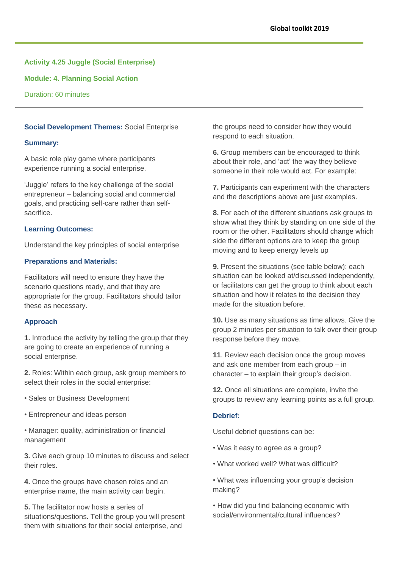# **Activity 4.25 Juggle (Social Enterprise)**

**Module: 4. Planning Social Action**

Duration: 60 minutes

# **Social Development Themes:** Social Enterprise

#### **Summary:**

A basic role play game where participants experience running a social enterprise.

'Juggle' refers to the key challenge of the social entrepreneur – balancing social and commercial goals, and practicing self-care rather than selfsacrifice.

#### **Learning Outcomes:**

Understand the key principles of social enterprise

## **Preparations and Materials:**

Facilitators will need to ensure they have the scenario questions ready, and that they are appropriate for the group. Facilitators should tailor these as necessary.

## **Approach**

**1.** Introduce the activity by telling the group that they are going to create an experience of running a social enterprise.

**2.** Roles: Within each group, ask group members to select their roles in the social enterprise:

- Sales or Business Development
- Entrepreneur and ideas person
- Manager: quality, administration or financial management

**3.** Give each group 10 minutes to discuss and select their roles.

**4.** Once the groups have chosen roles and an enterprise name, the main activity can begin.

**5.** The facilitator now hosts a series of situations/questions. Tell the group you will present them with situations for their social enterprise, and

the groups need to consider how they would respond to each situation.

**6.** Group members can be encouraged to think about their role, and 'act' the way they believe someone in their role would act. For example:

**7.** Participants can experiment with the characters and the descriptions above are just examples.

**8.** For each of the different situations ask groups to show what they think by standing on one side of the room or the other. Facilitators should change which side the different options are to keep the group moving and to keep energy levels up

**9.** Present the situations (see table below): each situation can be looked at/discussed independently, or facilitators can get the group to think about each situation and how it relates to the decision they made for the situation before.

**10.** Use as many situations as time allows. Give the group 2 minutes per situation to talk over their group response before they move.

**11**. Review each decision once the group moves and ask one member from each group – in character – to explain their group's decision.

**12.** Once all situations are complete, invite the groups to review any learning points as a full group.

## **Debrief:**

Useful debrief questions can be:

- Was it easy to agree as a group?
- What worked well? What was difficult?
- What was influencing your group's decision making?

• How did you find balancing economic with social/environmental/cultural influences?